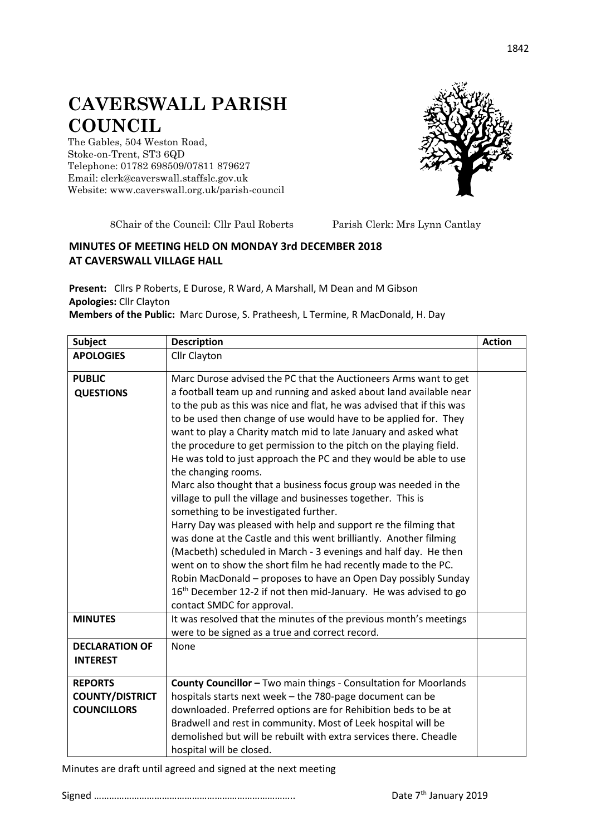## **CAVERSWALL PARISH COUNCIL**

The Gables, 504 Weston Road, Stoke-on-Trent, ST3 6QD Telephone: 01782 698509/07811 879627 Email: clerk@caverswall.staffslc.gov.uk Website: [www.c](http://www.dilhorneparishcouncil.co.uk/)averswall.org.uk/parish-council



8Chair of the Council: Cllr Paul Roberts Parish Clerk: Mrs Lynn Cantlay

## **MINUTES OF MEETING HELD ON MONDAY 3rd DECEMBER 2018 AT CAVERSWALL VILLAGE HALL**

**Present:** Cllrs P Roberts, E Durose, R Ward, A Marshall, M Dean and M Gibson **Apologies:** Cllr Clayton

**Members of the Public:** Marc Durose, S. Pratheesh, L Termine, R MacDonald, H. Day

| Subject                                                        | <b>Description</b>                                                                                                                                                                                                                                                                                                                                                                                                                                                                                                                                                                                                                                                                                                                                                                                                                                                                                                                                                                                                                                                                                                                                                | <b>Action</b> |
|----------------------------------------------------------------|-------------------------------------------------------------------------------------------------------------------------------------------------------------------------------------------------------------------------------------------------------------------------------------------------------------------------------------------------------------------------------------------------------------------------------------------------------------------------------------------------------------------------------------------------------------------------------------------------------------------------------------------------------------------------------------------------------------------------------------------------------------------------------------------------------------------------------------------------------------------------------------------------------------------------------------------------------------------------------------------------------------------------------------------------------------------------------------------------------------------------------------------------------------------|---------------|
| <b>APOLOGIES</b>                                               | Cllr Clayton                                                                                                                                                                                                                                                                                                                                                                                                                                                                                                                                                                                                                                                                                                                                                                                                                                                                                                                                                                                                                                                                                                                                                      |               |
| <b>PUBLIC</b><br><b>QUESTIONS</b>                              | Marc Durose advised the PC that the Auctioneers Arms want to get<br>a football team up and running and asked about land available near<br>to the pub as this was nice and flat, he was advised that if this was<br>to be used then change of use would have to be applied for. They<br>want to play a Charity match mid to late January and asked what<br>the procedure to get permission to the pitch on the playing field.<br>He was told to just approach the PC and they would be able to use<br>the changing rooms.<br>Marc also thought that a business focus group was needed in the<br>village to pull the village and businesses together. This is<br>something to be investigated further.<br>Harry Day was pleased with help and support re the filming that<br>was done at the Castle and this went brilliantly. Another filming<br>(Macbeth) scheduled in March - 3 evenings and half day. He then<br>went on to show the short film he had recently made to the PC.<br>Robin MacDonald - proposes to have an Open Day possibly Sunday<br>16 <sup>th</sup> December 12-2 if not then mid-January. He was advised to go<br>contact SMDC for approval. |               |
| <b>MINUTES</b>                                                 | It was resolved that the minutes of the previous month's meetings<br>were to be signed as a true and correct record.                                                                                                                                                                                                                                                                                                                                                                                                                                                                                                                                                                                                                                                                                                                                                                                                                                                                                                                                                                                                                                              |               |
| <b>DECLARATION OF</b><br><b>INTEREST</b>                       | None                                                                                                                                                                                                                                                                                                                                                                                                                                                                                                                                                                                                                                                                                                                                                                                                                                                                                                                                                                                                                                                                                                                                                              |               |
| <b>REPORTS</b><br><b>COUNTY/DISTRICT</b><br><b>COUNCILLORS</b> | County Councillor - Two main things - Consultation for Moorlands<br>hospitals starts next week - the 780-page document can be<br>downloaded. Preferred options are for Rehibition beds to be at<br>Bradwell and rest in community. Most of Leek hospital will be<br>demolished but will be rebuilt with extra services there. Cheadle<br>hospital will be closed.                                                                                                                                                                                                                                                                                                                                                                                                                                                                                                                                                                                                                                                                                                                                                                                                 |               |

Minutes are draft until agreed and signed at the next meeting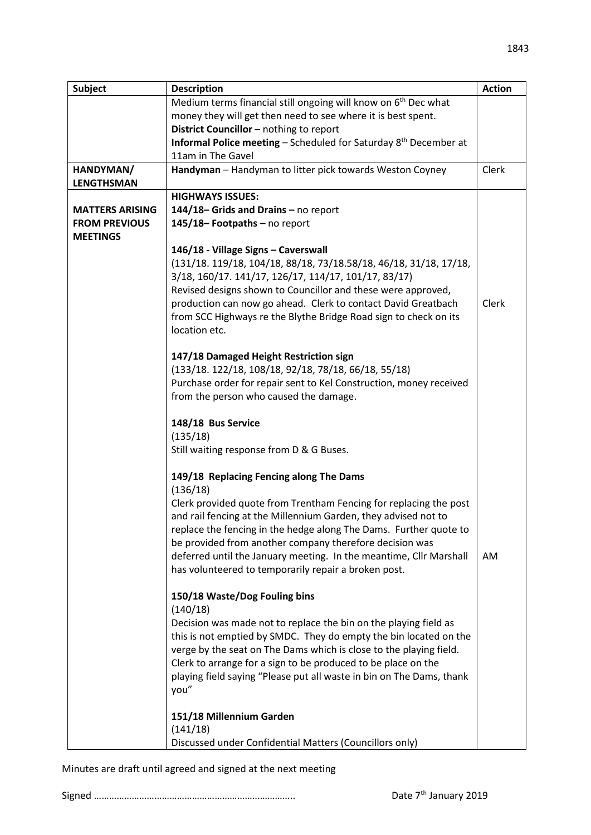| <b>Subject</b>         | <b>Description</b>                                                                                        | <b>Action</b> |
|------------------------|-----------------------------------------------------------------------------------------------------------|---------------|
|                        | Medium terms financial still ongoing will know on 6 <sup>th</sup> Dec what                                |               |
|                        | money they will get then need to see where it is best spent.                                              |               |
|                        | District Councillor - nothing to report                                                                   |               |
|                        | <b>Informal Police meeting - Scheduled for Saturday <math>8th</math> December at</b><br>11am in The Gavel |               |
| HANDYMAN/              | Handyman - Handyman to litter pick towards Weston Coyney                                                  | Clerk         |
| <b>LENGTHSMAN</b>      |                                                                                                           |               |
|                        | <b>HIGHWAYS ISSUES:</b>                                                                                   |               |
| <b>MATTERS ARISING</b> | 144/18-Grids and Drains - no report                                                                       |               |
| <b>FROM PREVIOUS</b>   | 145/18-Footpaths-no report                                                                                |               |
| <b>MEETINGS</b>        |                                                                                                           |               |
|                        | 146/18 - Village Signs - Caverswall                                                                       |               |
|                        | (131/18. 119/18, 104/18, 88/18, 73/18.58/18, 46/18, 31/18, 17/18,                                         |               |
|                        | 3/18, 160/17. 141/17, 126/17, 114/17, 101/17, 83/17)                                                      |               |
|                        | Revised designs shown to Councillor and these were approved,                                              |               |
|                        | production can now go ahead. Clerk to contact David Greatbach                                             | Clerk         |
|                        | from SCC Highways re the Blythe Bridge Road sign to check on its                                          |               |
|                        | location etc.                                                                                             |               |
|                        |                                                                                                           |               |
|                        | 147/18 Damaged Height Restriction sign<br>(133/18. 122/18, 108/18, 92/18, 78/18, 66/18, 55/18)            |               |
|                        | Purchase order for repair sent to Kel Construction, money received                                        |               |
|                        | from the person who caused the damage.                                                                    |               |
|                        |                                                                                                           |               |
|                        | 148/18 Bus Service                                                                                        |               |
|                        | (135/18)                                                                                                  |               |
|                        | Still waiting response from D & G Buses.                                                                  |               |
|                        | 149/18 Replacing Fencing along The Dams                                                                   |               |
|                        | (136/18)                                                                                                  |               |
|                        | Clerk provided quote from Trentham Fencing for replacing the post                                         |               |
|                        | and rail fencing at the Millennium Garden, they advised not to                                            |               |
|                        | replace the fencing in the hedge along The Dams. Further quote to                                         |               |
|                        | be provided from another company therefore decision was                                                   |               |
|                        | deferred until the January meeting. In the meantime, Cllr Marshall                                        | AM.           |
|                        | has volunteered to temporarily repair a broken post.                                                      |               |
|                        | 150/18 Waste/Dog Fouling bins                                                                             |               |
|                        | (140/18)                                                                                                  |               |
|                        | Decision was made not to replace the bin on the playing field as                                          |               |
|                        | this is not emptied by SMDC. They do empty the bin located on the                                         |               |
|                        | verge by the seat on The Dams which is close to the playing field.                                        |               |
|                        | Clerk to arrange for a sign to be produced to be place on the                                             |               |
|                        | playing field saying "Please put all waste in bin on The Dams, thank                                      |               |
|                        | you"                                                                                                      |               |
|                        | 151/18 Millennium Garden                                                                                  |               |
|                        | (141/18)                                                                                                  |               |
|                        | Discussed under Confidential Matters (Councillors only)                                                   |               |
|                        |                                                                                                           |               |

Minutes are draft until agreed and signed at the next meeting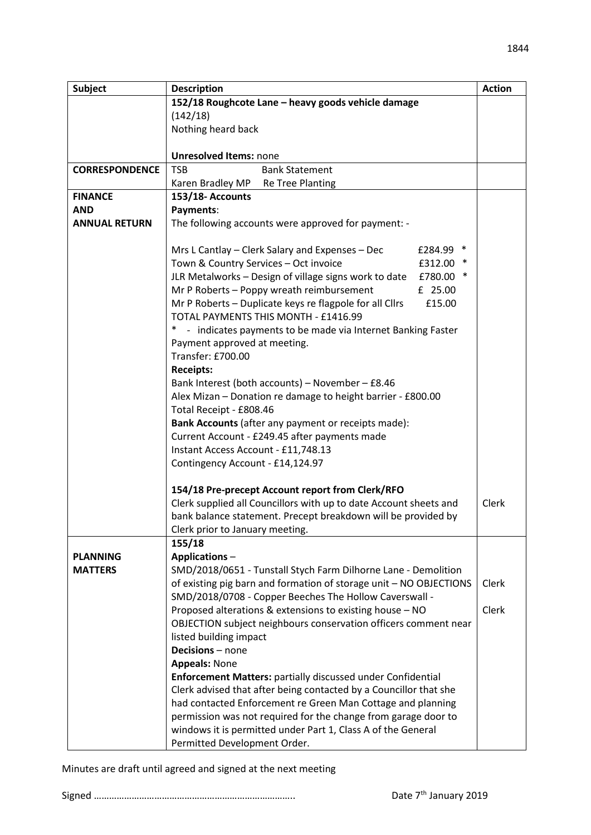| <b>Subject</b>        | <b>Description</b>                                                    | <b>Action</b> |
|-----------------------|-----------------------------------------------------------------------|---------------|
|                       | 152/18 Roughcote Lane - heavy goods vehicle damage                    |               |
|                       | (142/18)                                                              |               |
|                       | Nothing heard back                                                    |               |
|                       |                                                                       |               |
|                       | <b>Unresolved Items: none</b>                                         |               |
| <b>CORRESPONDENCE</b> | <b>TSB</b><br><b>Bank Statement</b>                                   |               |
|                       | Karen Bradley MP<br>Re Tree Planting                                  |               |
| <b>FINANCE</b>        | 153/18-Accounts                                                       |               |
| <b>AND</b>            | Payments:                                                             |               |
| <b>ANNUAL RETURN</b>  | The following accounts were approved for payment: -                   |               |
|                       |                                                                       |               |
|                       | £284.99 *<br>Mrs L Cantlay – Clerk Salary and Expenses – Dec          |               |
|                       | Town & Country Services - Oct invoice<br>£312.00                      |               |
|                       | JLR Metalworks - Design of village signs work to date<br>£780.00      |               |
|                       | Mr P Roberts - Poppy wreath reimbursement<br>£ 25.00                  |               |
|                       | Mr P Roberts - Duplicate keys re flagpole for all Cllrs<br>£15.00     |               |
|                       | TOTAL PAYMENTS THIS MONTH - £1416.99                                  |               |
|                       | $\ast$<br>- indicates payments to be made via Internet Banking Faster |               |
|                       | Payment approved at meeting.                                          |               |
|                       | Transfer: £700.00                                                     |               |
|                       | <b>Receipts:</b>                                                      |               |
|                       | Bank Interest (both accounts) - November - £8.46                      |               |
|                       | Alex Mizan - Donation re damage to height barrier - £800.00           |               |
|                       | Total Receipt - £808.46                                               |               |
|                       | Bank Accounts (after any payment or receipts made):                   |               |
|                       | Current Account - £249.45 after payments made                         |               |
|                       | Instant Access Account - £11,748.13                                   |               |
|                       | Contingency Account - £14,124.97                                      |               |
|                       | 154/18 Pre-precept Account report from Clerk/RFO                      |               |
|                       | Clerk supplied all Councillors with up to date Account sheets and     | Clerk         |
|                       | bank balance statement. Precept breakdown will be provided by         |               |
|                       | Clerk prior to January meeting.                                       |               |
|                       | 155/18                                                                |               |
| <b>PLANNING</b>       | <b>Applications-</b>                                                  |               |
| <b>MATTERS</b>        | SMD/2018/0651 - Tunstall Stych Farm Dilhorne Lane - Demolition        |               |
|                       | of existing pig barn and formation of storage unit - NO OBJECTIONS    | Clerk         |
|                       | SMD/2018/0708 - Copper Beeches The Hollow Caverswall -                |               |
|                       | Proposed alterations & extensions to existing house - NO              | Clerk         |
|                       | OBJECTION subject neighbours conservation officers comment near       |               |
|                       | listed building impact                                                |               |
|                       | Decisions - none                                                      |               |
|                       | <b>Appeals: None</b>                                                  |               |
|                       | <b>Enforcement Matters: partially discussed under Confidential</b>    |               |
|                       | Clerk advised that after being contacted by a Councillor that she     |               |
|                       | had contacted Enforcement re Green Man Cottage and planning           |               |
|                       | permission was not required for the change from garage door to        |               |
|                       | windows it is permitted under Part 1, Class A of the General          |               |
|                       | Permitted Development Order.                                          |               |

Minutes are draft until agreed and signed at the next meeting